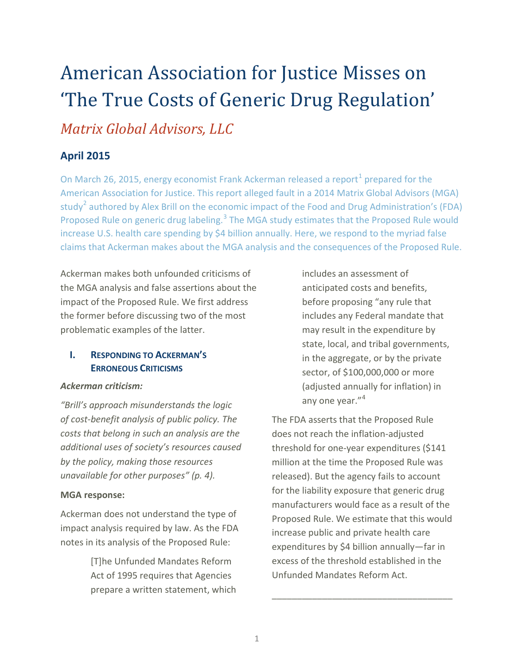# American Association for Justice Misses on 'The True Costs of Generic Drug Regulation' *Matrix Global Advisors, LLC*

## **April 2015**

On March 26, 20[1](#page-3-0)5, energy economist Frank Ackerman released a report<sup>1</sup> prepared for the American Association for Justice. This report alleged fault in a 2014 Matrix Global Advisors (MGA) study<sup>[2](#page-3-1)</sup> authored by Alex Brill on the economic impact of the Food and Drug Administration's (FDA) Proposed Rule on generic drug labeling.<sup>[3](#page-3-2)</sup> The MGA study estimates that the Proposed Rule would increase U.S. health care spending by \$4 billion annually. Here, we respond to the myriad false claims that Ackerman makes about the MGA analysis and the consequences of the Proposed Rule.

Ackerman makes both unfounded criticisms of the MGA analysis and false assertions about the impact of the Proposed Rule. We first address the former before discussing two of the most problematic examples of the latter.

## **I. RESPONDING TO ACKERMAN'S ERRONEOUS CRITICISMS**

#### *Ackerman criticism:*

*"Brill's approach misunderstands the logic of cost-benefit analysis of public policy. The costs that belong in such an analysis are the additional uses of society's resources caused by the policy, making those resources unavailable for other purposes" (p. 4).* 

#### **MGA response:**

Ackerman does not understand the type of impact analysis required by law. As the FDA notes in its analysis of the Proposed Rule:

> [T]he Unfunded Mandates Reform Act of 1995 requires that Agencies prepare a written statement, which

includes an assessment of anticipated costs and benefits, before proposing "any rule that includes any Federal mandate that may result in the expenditure by state, local, and tribal governments, in the aggregate, or by the private sector, of \$100,000,000 or more (adjusted annually for inflation) in any one year."<sup>[4](#page-3-3)</sup>

The FDA asserts that the Proposed Rule does not reach the inflation-adjusted threshold for one-year expenditures (\$141 million at the time the Proposed Rule was released). But the agency fails to account for the liability exposure that generic drug manufacturers would face as a result of the Proposed Rule. We estimate that this would increase public and private health care expenditures by \$4 billion annually—far in excess of the threshold established in the Unfunded Mandates Reform Act.

\_\_\_\_\_\_\_\_\_\_\_\_\_\_\_\_\_\_\_\_\_\_\_\_\_\_\_\_\_\_\_\_\_\_\_\_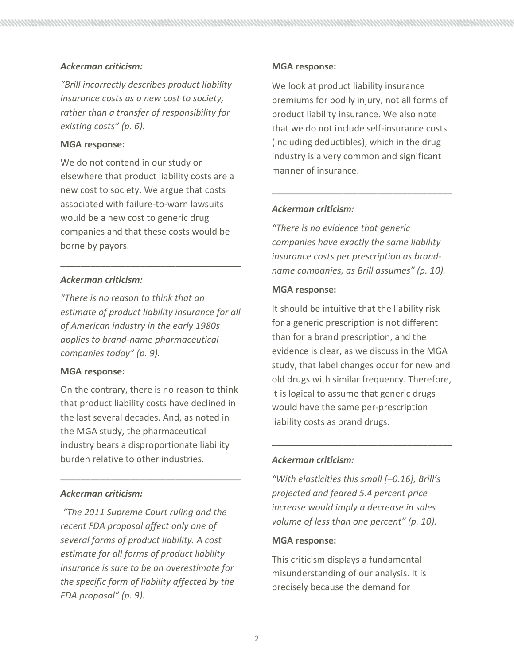### *Ackerman criticism:*

*"Brill incorrectly describes product liability insurance costs as a new cost to society, rather than a transfer of responsibility for existing costs" (p. 6).* 

#### **MGA response:**

We do not contend in our study or elsewhere that product liability costs are a new cost to society. We argue that costs associated with failure-to-warn lawsuits would be a new cost to generic drug companies and that these costs would be borne by payors.

## *Ackerman criticism:*

*"There is no reason to think that an estimate of product liability insurance for all of American industry in the early 1980s applies to brand-name pharmaceutical companies today" (p. 9).*

\_\_\_\_\_\_\_\_\_\_\_\_\_\_\_\_\_\_\_\_\_\_\_\_\_\_\_\_\_\_\_\_\_\_\_\_

#### **MGA response:**

On the contrary, there is no reason to think that product liability costs have declined in the last several decades. And, as noted in the MGA study, the pharmaceutical industry bears a disproportionate liability burden relative to other industries.

\_\_\_\_\_\_\_\_\_\_\_\_\_\_\_\_\_\_\_\_\_\_\_\_\_\_\_\_\_\_\_\_\_\_\_\_

## *Ackerman criticism:*

*"The 2011 Supreme Court ruling and the recent FDA proposal affect only one of several forms of product liability. A cost estimate for all forms of product liability insurance is sure to be an overestimate for the specific form of liability affected by the FDA proposal" (p. 9).*

#### **MGA response:**

We look at product liability insurance premiums for bodily injury, not all forms of product liability insurance. We also note that we do not include self-insurance costs (including deductibles), which in the drug industry is a very common and significant manner of insurance.

\_\_\_\_\_\_\_\_\_\_\_\_\_\_\_\_\_\_\_\_\_\_\_\_\_\_\_\_\_\_\_\_\_\_\_\_

#### *Ackerman criticism:*

*"There is no evidence that generic companies have exactly the same liability insurance costs per prescription as brandname companies, as Brill assumes" (p. 10).*

#### **MGA response:**

It should be intuitive that the liability risk for a generic prescription is not different than for a brand prescription, and the evidence is clear, as we discuss in the MGA study, that label changes occur for new and old drugs with similar frequency. Therefore, it is logical to assume that generic drugs would have the same per-prescription liability costs as brand drugs.

\_\_\_\_\_\_\_\_\_\_\_\_\_\_\_\_\_\_\_\_\_\_\_\_\_\_\_\_\_\_\_\_\_\_\_\_

#### *Ackerman criticism:*

*"With elasticities this small [–0.16], Brill's projected and feared 5.4 percent price increase would imply a decrease in sales volume of less than one percent" (p. 10).* 

#### **MGA response:**

This criticism displays a fundamental misunderstanding of our analysis. It is precisely because the demand for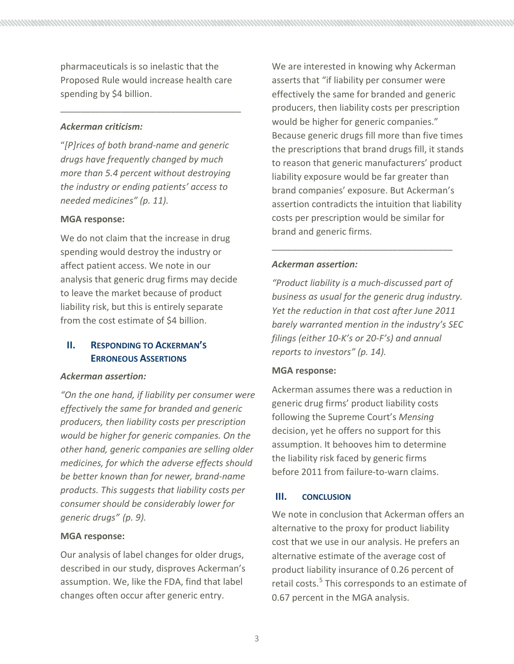pharmaceuticals is so inelastic that the Proposed Rule would increase health care spending by \$4 billion.

\_\_\_\_\_\_\_\_\_\_\_\_\_\_\_\_\_\_\_\_\_\_\_\_\_\_\_\_\_\_\_\_\_\_\_\_

## *Ackerman criticism:*

"*[P]rices of both brand-name and generic drugs have frequently changed by much more than 5.4 percent without destroying the industry or ending patients' access to needed medicines" (p. 11).*

## **MGA response:**

We do not claim that the increase in drug spending would destroy the industry or affect patient access. We note in our analysis that generic drug firms may decide to leave the market because of product liability risk, but this is entirely separate from the cost estimate of \$4 billion.

## **II. RESPONDING TO ACKERMAN'S ERRONEOUS ASSERTIONS**

#### *Ackerman assertion:*

*"On the one hand, if liability per consumer were effectively the same for branded and generic producers, then liability costs per prescription would be higher for generic companies. On the other hand, generic companies are selling older medicines, for which the adverse effects should be better known than for newer, brand-name products. This suggests that liability costs per consumer should be considerably lower for generic drugs" (p. 9).* 

## **MGA response:**

Our analysis of label changes for older drugs, described in our study, disproves Ackerman's assumption. We, like the FDA, find that label changes often occur after generic entry.

We are interested in knowing why Ackerman asserts that "if liability per consumer were effectively the same for branded and generic producers, then liability costs per prescription would be higher for generic companies." Because generic drugs fill more than five times the prescriptions that brand drugs fill, it stands to reason that generic manufacturers' product liability exposure would be far greater than brand companies' exposure. But Ackerman's assertion contradicts the intuition that liability costs per prescription would be similar for brand and generic firms.

## *Ackerman assertion:*

*"Product liability is a much-discussed part of business as usual for the generic drug industry. Yet the reduction in that cost after June 2011 barely warranted mention in the industry's SEC filings (either 10-K's or 20-F's) and annual reports to investors" (p. 14).* 

\_\_\_\_\_\_\_\_\_\_\_\_\_\_\_\_\_\_\_\_\_\_\_\_\_\_\_\_\_\_\_\_\_\_\_\_

## **MGA response:**

Ackerman assumes there was a reduction in generic drug firms' product liability costs following the Supreme Court's *Mensing* decision, yet he offers no support for this assumption. It behooves him to determine the liability risk faced by generic firms before 2011 from failure-to-warn claims.

## **III. CONCLUSION**

We note in conclusion that Ackerman offers an alternative to the proxy for product liability cost that we use in our analysis. He prefers an alternative estimate of the average cost of product liability insurance of 0.26 percent of retail costs. [5](#page-3-4) This corresponds to an estimate of 0.67 percent in the MGA analysis.